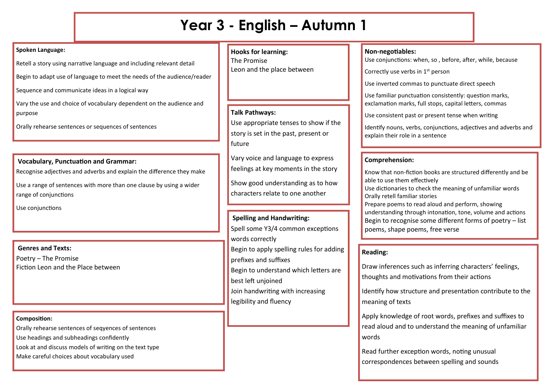# **Year 3 - English – Autumn 1**

#### **Spoken Language:**

Retell a story using narrative language and including relevant detail

Begin to adapt use of language to meet the needs of the audience/reader

Sequence and communicate ideas in a logical way

Vary the use and choice of vocabulary dependent on the audience and purpose

Orally rehearse sentences or sequences of sentences

## **Vocabulary, Punctuation and Grammar:**

Recognise adjectives and adverbs and explain the difference they make

Use a range of sentences with more than one clause by using a wider range of conjunctions

Use conjunctions

## **Genres and Texts:**

Poetry – The Promise Fiction Leon and the Place between

## **Composition:**

Orally rehearse sentences of seqyences of sentences

Use headings and subheadings confidently

Look at and discuss models of writing on the text type

Make careful choices about vocabulary used

## **Hooks for learning:** The Promise Leon and the place between

## **Talk Pathways:**

Use appropriate tenses to show if the story is set in the past, present or future

Vary voice and language to express feelings at key moments in the story

Show good understanding as to how characters relate to one another

## **Spelling and Handwriting:**

Spell some Y3/4 common exceptions words correctly Begin to apply spelling rules for adding

prefixes and suffixes

Begin to understand which letters are

best left unjoined

Join handwriting with increasing

legibility and fluency

## **Non-negotiables:**

Use conjunctions: when, so , before, after, while, because

Correctly use verbs in  $1<sup>st</sup>$  person

Use inverted commas to punctuate direct speech

Use familiar punctuation consistently: question marks, exclamation marks, full stops, capital letters, commas

Use consistent past or present tense when writing

Identify nouns, verbs, conjunctions, adjectives and adverbs and explain their role in a sentence

## **Comprehension:**

Know that non-fiction books are structured differently and be able to use them effectively Use dictionaries to check the meaning of unfamiliar words Orally retell familiar stories Prepare poems to read aloud and perform, showing understanding through intonation, tone, volume and actions Begin to recognise some different forms of poetry – list poems, shape poems, free verse

## **Reading:**

Draw inferences such as inferring characters' feelings, thoughts and motivations from their actions

Identify how structure and presentation contribute to the meaning of texts

Apply knowledge of root words, prefixes and suffixes to read aloud and to understand the meaning of unfamiliar words

Read further exception words, noting unusual correspondences between spelling and sounds